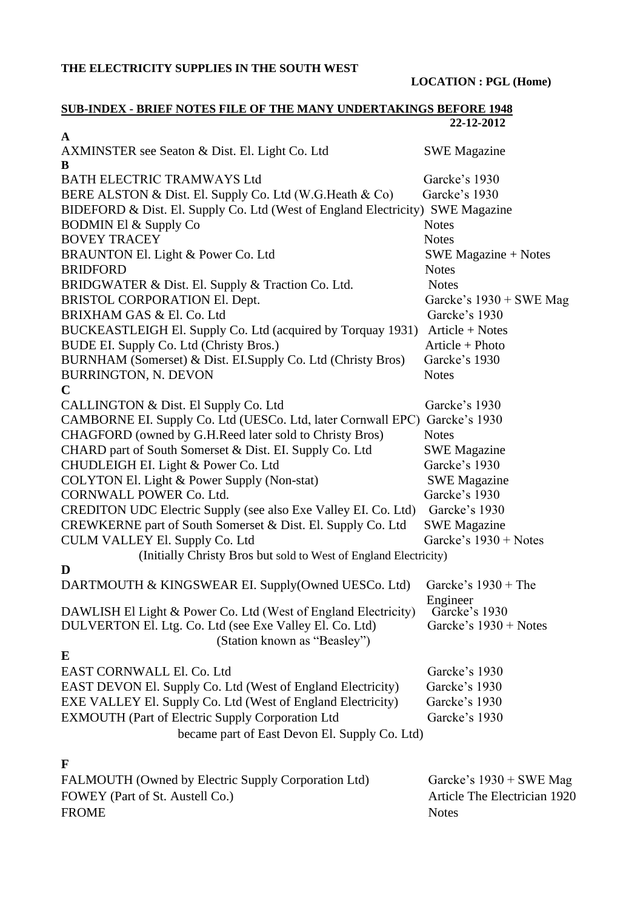#### **THE ELECTRICITY SUPPLIES IN THE SOUTH WEST**

**LOCATION : PGL (Home)**

#### **SUB-INDEX - BRIEF NOTES FILE OF THE MANY UNDERTAKINGS BEFORE 1948 22-12-2012**

| $\mathbf A$<br>AXMINSTER see Seaton & Dist. El. Light Co. Ltd<br>В             | <b>SWE Magazine</b>          |
|--------------------------------------------------------------------------------|------------------------------|
| <b>BATH ELECTRIC TRAMWAYS Ltd</b>                                              | Garcke's 1930                |
| BERE ALSTON & Dist. El. Supply Co. Ltd (W.G.Heath & Co)                        | Garcke's 1930                |
| BIDEFORD & Dist. El. Supply Co. Ltd (West of England Electricity) SWE Magazine |                              |
| <b>BODMIN El &amp; Supply Co</b>                                               | <b>Notes</b>                 |
| <b>BOVEY TRACEY</b>                                                            | <b>Notes</b>                 |
| BRAUNTON El. Light & Power Co. Ltd                                             | SWE Magazine $+$ Notes       |
| <b>BRIDFORD</b>                                                                | <b>Notes</b>                 |
| BRIDGWATER & Dist. El. Supply & Traction Co. Ltd.                              | <b>Notes</b>                 |
| BRISTOL CORPORATION El. Dept.                                                  | Garcke's $1930 +$ SWE Mag    |
| BRIXHAM GAS & El. Co. Ltd                                                      | Garcke's 1930                |
| BUCKEASTLEIGH El. Supply Co. Ltd (acquired by Torquay 1931)                    | Article + Notes              |
| BUDE EI. Supply Co. Ltd (Christy Bros.)                                        | $Article + Photo$            |
| BURNHAM (Somerset) & Dist. EI.Supply Co. Ltd (Christy Bros)                    | Garcke's 1930                |
| <b>BURRINGTON, N. DEVON</b>                                                    | <b>Notes</b>                 |
| $\mathbf C$                                                                    |                              |
| CALLINGTON & Dist. El Supply Co. Ltd                                           | Garcke's 1930                |
| CAMBORNE EI. Supply Co. Ltd (UESCo. Ltd, later Cornwall EPC)                   | Garcke's 1930                |
| CHAGFORD (owned by G.H.Reed later sold to Christy Bros)                        | <b>Notes</b>                 |
| CHARD part of South Somerset & Dist. EI. Supply Co. Ltd                        | <b>SWE Magazine</b>          |
| CHUDLEIGH EI. Light & Power Co. Ltd                                            | Garcke's 1930                |
| COLYTON El. Light & Power Supply (Non-stat)                                    | <b>SWE Magazine</b>          |
| <b>CORNWALL POWER Co. Ltd.</b>                                                 | Garcke's 1930                |
| CREDITON UDC Electric Supply (see also Exe Valley EI. Co. Ltd)                 | Garcke's 1930                |
| CREWKERNE part of South Somerset & Dist. El. Supply Co. Ltd                    | <b>SWE Magazine</b>          |
| CULM VALLEY El. Supply Co. Ltd                                                 | Garcke's 1930 + Notes        |
| (Initially Christy Bros but sold to West of England Electricity)               |                              |
| D                                                                              |                              |
| DARTMOUTH & KINGSWEAR EI. Supply(Owned UESCo. Ltd)                             | Garcke's $1930 + The$        |
|                                                                                | Engineer                     |
| DAWLISH El Light & Power Co. Ltd (West of England Electricity)                 | Garcke's 1930                |
| DULVERTON El. Ltg. Co. Ltd (see Exe Valley El. Co. Ltd)                        | Garcke's 1930 + Notes        |
| (Station known as "Beasley")                                                   |                              |
| E                                                                              |                              |
| EAST CORNWALL El. Co. Ltd                                                      | Garcke's 1930                |
| EAST DEVON El. Supply Co. Ltd (West of England Electricity)                    | Garcke's 1930                |
| EXE VALLEY El. Supply Co. Ltd (West of England Electricity)                    | Garcke's 1930                |
| EXMOUTH (Part of Electric Supply Corporation Ltd                               | Garcke's 1930                |
| became part of East Devon El. Supply Co. Ltd)                                  |                              |
| F                                                                              |                              |
| FALMOUTH (Owned by Electric Supply Corporation Ltd)                            | Garcke's $1930 +$ SWE Mag    |
| FOWEY (Part of St. Austell Co.)                                                | Article The Electrician 1920 |

FROME Notes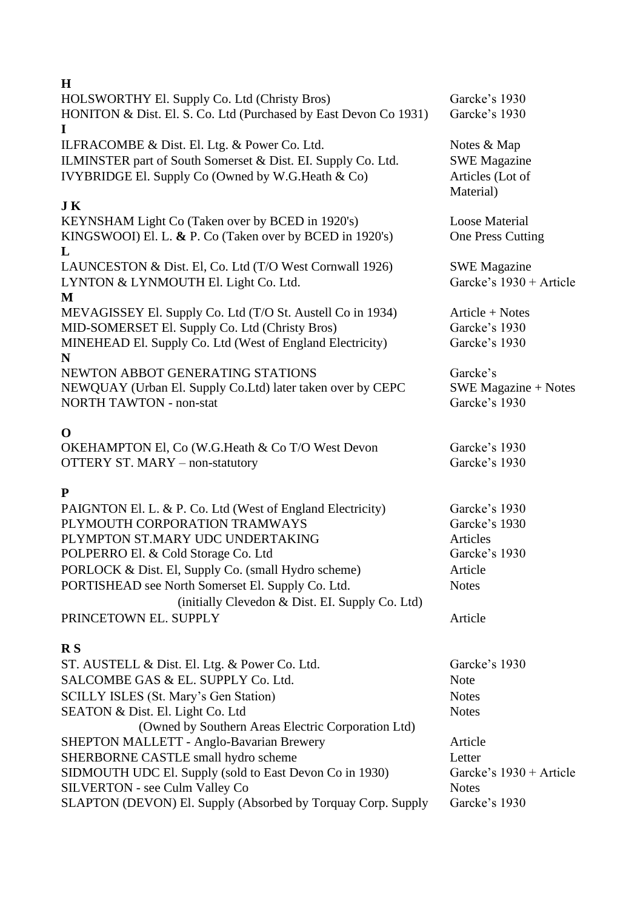| H                                                                               |                               |
|---------------------------------------------------------------------------------|-------------------------------|
| HOLSWORTHY El. Supply Co. Ltd (Christy Bros)                                    | Garcke's 1930                 |
| HONITON & Dist. El. S. Co. Ltd (Purchased by East Devon Co 1931)<br>$\mathbf I$ | Garcke's 1930                 |
| ILFRACOMBE & Dist. El. Ltg. & Power Co. Ltd.                                    | Notes & Map                   |
| ILMINSTER part of South Somerset & Dist. EI. Supply Co. Ltd.                    | <b>SWE Magazine</b>           |
| IVYBRIDGE El. Supply Co (Owned by W.G.Heath & Co)                               | Articles (Lot of<br>Material) |
| <b>JK</b>                                                                       |                               |
| KEYNSHAM Light Co (Taken over by BCED in 1920's)                                | <b>Loose Material</b>         |
| KINGSWOOI) El. L. & P. Co (Taken over by BCED in 1920's)                        | One Press Cutting             |
| L                                                                               |                               |
| LAUNCESTON & Dist. El, Co. Ltd (T/O West Cornwall 1926)                         | <b>SWE</b> Magazine           |
| LYNTON & LYNMOUTH El. Light Co. Ltd.                                            | Garcke's 1930 + Article       |
| M                                                                               |                               |
| MEVAGISSEY El. Supply Co. Ltd (T/O St. Austell Co in 1934)                      | $Article + Notes$             |
| MID-SOMERSET El. Supply Co. Ltd (Christy Bros)                                  | Garcke's 1930                 |
| MINEHEAD El. Supply Co. Ltd (West of England Electricity)                       | Garcke's 1930                 |
| N                                                                               |                               |
| NEWTON ABBOT GENERATING STATIONS                                                | Garcke's                      |
| NEWQUAY (Urban El. Supply Co.Ltd) later taken over by CEPC                      | $SWE$ Magazine + Notes        |
| <b>NORTH TAWTON - non-stat</b>                                                  | Garcke's 1930                 |
| $\Omega$                                                                        |                               |
| OKEHAMPTON El, Co (W.G.Heath & Co T/O West Devon                                | Garcke's 1930                 |

OTTERY ST. MARY – non-statutory Garcke's 1930

# **P**

| PAIGNTON El. L. & P. Co. Ltd (West of England Electricity) | Garcke's 1930 |
|------------------------------------------------------------|---------------|
| PLYMOUTH CORPORATION TRAMWAYS                              | Garcke's 1930 |
| PLYMPTON ST.MARY UDC UNDERTAKING                           | Articles      |
| POLPERRO El. & Cold Storage Co. Ltd                        | Garcke's 1930 |
| PORLOCK & Dist. El, Supply Co. (small Hydro scheme)        | Article       |
| PORTISHEAD see North Somerset El. Supply Co. Ltd.          | <b>Notes</b>  |
| (initially Clevedon & Dist. EI. Supply Co. Ltd)            |               |
| PRINCETOWN EL. SUPPLY                                      | Article       |

# **R S**

| ST. AUSTELL & Dist. El. Ltg. & Power Co. Ltd.                | Garcke's 1930             |
|--------------------------------------------------------------|---------------------------|
| SALCOMBE GAS & EL. SUPPLY Co. Ltd.                           | <b>Note</b>               |
| SCILLY ISLES (St. Mary's Gen Station)                        | <b>Notes</b>              |
| SEATON & Dist. El. Light Co. Ltd                             | <b>Notes</b>              |
| (Owned by Southern Areas Electric Corporation Ltd)           |                           |
| SHEPTON MALLETT - Anglo-Bavarian Brewery                     | Article                   |
| SHERBORNE CASTLE small hydro scheme                          | Letter                    |
| SIDMOUTH UDC El. Supply (sold to East Devon Co in 1930)      | Garcke's $1930 +$ Article |
| SILVERTON - see Culm Valley Co                               | <b>Notes</b>              |
| SLAPTON (DEVON) El. Supply (Absorbed by Torquay Corp. Supply | Garcke's 1930             |

### **H**